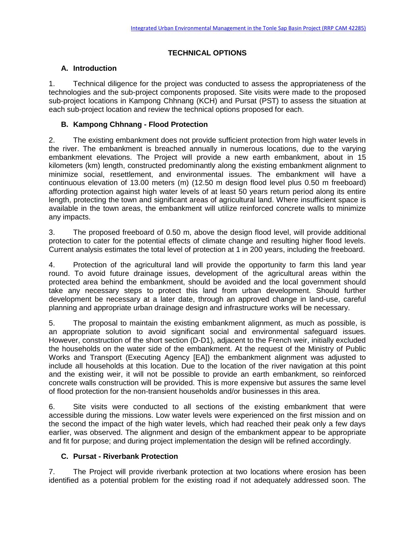# **TECHNICAL OPTIONS**

## **A. Introduction**

1. Technical diligence for the project was conducted to assess the appropriateness of the technologies and the sub-project components proposed. Site visits were made to the proposed sub-project locations in Kampong Chhnang (KCH) and Pursat (PST) to assess the situation at each sub-project location and review the technical options proposed for each.

## **B. Kampong Chhnang - Flood Protection**

2. The existing embankment does not provide sufficient protection from high water levels in the river. The embankment is breached annually in numerous locations, due to the varying embankment elevations. The Project will provide a new earth embankment, about in 15 kilometers (km) length, constructed predominantly along the existing embankment alignment to minimize social, resettlement, and environmental issues. The embankment will have a continuous elevation of 13.00 meters (m) (12.50 m design flood level plus 0.50 m freeboard) affording protection against high water levels of at least 50 years return period along its entire length, protecting the town and significant areas of agricultural land. Where insufficient space is available in the town areas, the embankment will utilize reinforced concrete walls to minimize any impacts.

3. The proposed freeboard of 0.50 m, above the design flood level, will provide additional protection to cater for the potential effects of climate change and resulting higher flood levels. Current analysis estimates the total level of protection at 1 in 200 years, including the freeboard.

4. Protection of the agricultural land will provide the opportunity to farm this land year round. To avoid future drainage issues, development of the agricultural areas within the protected area behind the embankment, should be avoided and the local government should take any necessary steps to protect this land from urban development. Should further development be necessary at a later date, through an approved change in land-use, careful planning and appropriate urban drainage design and infrastructure works will be necessary.

5. The proposal to maintain the existing embankment alignment, as much as possible, is an appropriate solution to avoid significant social and environmental safeguard issues. However, construction of the short section (D-D1), adjacent to the French weir, initially excluded the households on the water side of the embankment. At the request of the Ministry of Public Works and Transport (Executing Agency [EA]) the embankment alignment was adjusted to include all households at this location. Due to the location of the river navigation at this point and the existing weir, it will not be possible to provide an earth embankment, so reinforced concrete walls construction will be provided. This is more expensive but assures the same level of flood protection for the non-transient households and/or businesses in this area.

6. Site visits were conducted to all sections of the existing embankment that were accessible during the missions. Low water levels were experienced on the first mission and on the second the impact of the high water levels, which had reached their peak only a few days earlier, was observed. The alignment and design of the embankment appear to be appropriate and fit for purpose; and during project implementation the design will be refined accordingly.

### **C. Pursat - Riverbank Protection**

7. The Project will provide riverbank protection at two locations where erosion has been identified as a potential problem for the existing road if not adequately addressed soon. The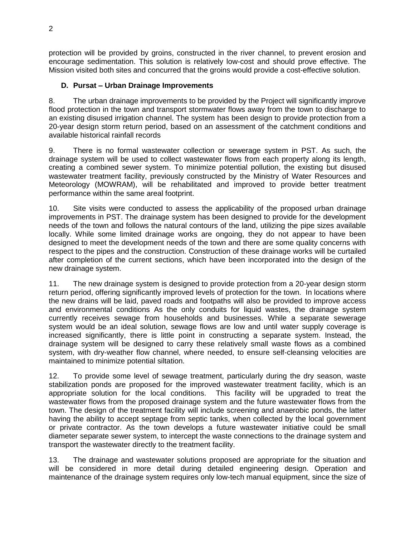protection will be provided by groins, constructed in the river channel, to prevent erosion and encourage sedimentation. This solution is relatively low-cost and should prove effective. The Mission visited both sites and concurred that the groins would provide a cost-effective solution.

## **D. Pursat – Urban Drainage Improvements**

8. The urban drainage improvements to be provided by the Project will significantly improve flood protection in the town and transport stormwater flows away from the town to discharge to an existing disused irrigation channel. The system has been design to provide protection from a 20-year design storm return period, based on an assessment of the catchment conditions and available historical rainfall records

9. There is no formal wastewater collection or sewerage system in PST. As such, the drainage system will be used to collect wastewater flows from each property along its length, creating a combined sewer system. To minimize potential pollution, the existing but disused wastewater treatment facility, previously constructed by the Ministry of Water Resources and Meteorology (MOWRAM), will be rehabilitated and improved to provide better treatment performance within the same areal footprint.

10. Site visits were conducted to assess the applicability of the proposed urban drainage improvements in PST. The drainage system has been designed to provide for the development needs of the town and follows the natural contours of the land, utilizing the pipe sizes available locally. While some limited drainage works are ongoing, they do not appear to have been designed to meet the development needs of the town and there are some quality concerns with respect to the pipes and the construction. Construction of these drainage works will be curtailed after completion of the current sections, which have been incorporated into the design of the new drainage system.

11. The new drainage system is designed to provide protection from a 20-year design storm return period, offering significantly improved levels of protection for the town. In locations where the new drains will be laid, paved roads and footpaths will also be provided to improve access and environmental conditions As the only conduits for liquid wastes, the drainage system currently receives sewage from households and businesses. While a separate sewerage system would be an ideal solution, sewage flows are low and until water supply coverage is increased significantly, there is little point in constructing a separate system. Instead, the drainage system will be designed to carry these relatively small waste flows as a combined system, with dry-weather flow channel, where needed, to ensure self-cleansing velocities are maintained to minimize potential siltation.

12. To provide some level of sewage treatment, particularly during the dry season, waste stabilization ponds are proposed for the improved wastewater treatment facility, which is an appropriate solution for the local conditions. This facility will be upgraded to treat the wastewater flows from the proposed drainage system and the future wastewater flows from the town. The design of the treatment facility will include screening and anaerobic ponds, the latter having the ability to accept septage from septic tanks, when collected by the local government or private contractor. As the town develops a future wastewater initiative could be small diameter separate sewer system, to intercept the waste connections to the drainage system and transport the wastewater directly to the treatment facility.

13. The drainage and wastewater solutions proposed are appropriate for the situation and will be considered in more detail during detailed engineering design. Operation and maintenance of the drainage system requires only low-tech manual equipment, since the size of